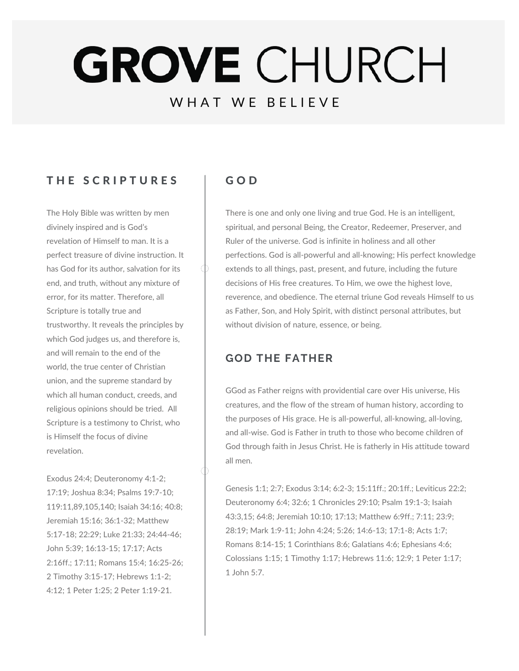#### THE SCRIPTURES

The Holy Bible was written by men divinely inspired and is God's revelation of Himself to man. It is a perfect treasure of divine instruction. It has God for its author, salvation for its end, and truth, without any mixture of error, for its matter. Therefore, all Scripture is totally true and trustworthy. It reveals the principles by which God judges us, and therefore is, and will remain to the end of the world, the true center of Christian union, and the supreme standard by which all human conduct, creeds, and religious opinions should be tried. All Scripture is a testimony to Christ, who is Himself the focus of divine revelation.

Exodus 24:4; Deuteronomy 4:1-2; 17:19; Joshua 8:34; Psalms 19:7-10; 119:11,89,105,140; Isaiah 34:16; 40:8; Jeremiah 15:16; 36:1-32; Matthew 5:17-18; 22:29; Luke 21:33; 24:44-46; John 5:39; 16:13-15; 17:17; Acts 2:16ff.; 17:11; Romans 15:4; 16:25-26; 2 Timothy 3:15-17; Hebrews 1:1-2; 4:12; 1 Peter 1:25; 2 Peter 1:19-21.

#### G O D

There is one and only one living and true God. He is an intelligent, spiritual, and personal Being, the Creator, Redeemer, Preserver, and Ruler of the universe. God is infinite in holiness and all other perfections. God is all-powerful and all-knowing; His perfect knowledge extends to all things, past, present, and future, including the future decisions of His free creatures. To Him, we owe the highest love, reverence, and obedience. The eternal triune God reveals Himself to us as Father, Son, and Holy Spirit, with distinct personal attributes, but without division of nature, essence, or being.

#### **GOD THE FATHER**

GGod as Father reigns with providential care over His universe, His creatures, and the flow of the stream of human history, according to the purposes of His grace. He is all-powerful, all-knowing, all-loving, and all-wise. God is Father in truth to those who become children of God through faith in Jesus Christ. He is fatherly in His attitude toward all men.

Genesis 1:1; 2:7; Exodus 3:14; 6:2-3; 15:11ff.; 20:1ff.; Leviticus 22:2; Deuteronomy 6:4; 32:6; 1 Chronicles 29:10; Psalm 19:1-3; Isaiah 43:3,15; 64:8; Jeremiah 10:10; 17:13; Matthew 6:9ff.; 7:11; 23:9; 28:19; Mark 1:9-11; John 4:24; 5:26; 14:6-13; 17:1-8; Acts 1:7; Romans 8:14-15; 1 Corinthians 8:6; Galatians 4:6; Ephesians 4:6; Colossians 1:15; 1 Timothy 1:17; Hebrews 11:6; 12:9; 1 Peter 1:17; 1 John 5:7.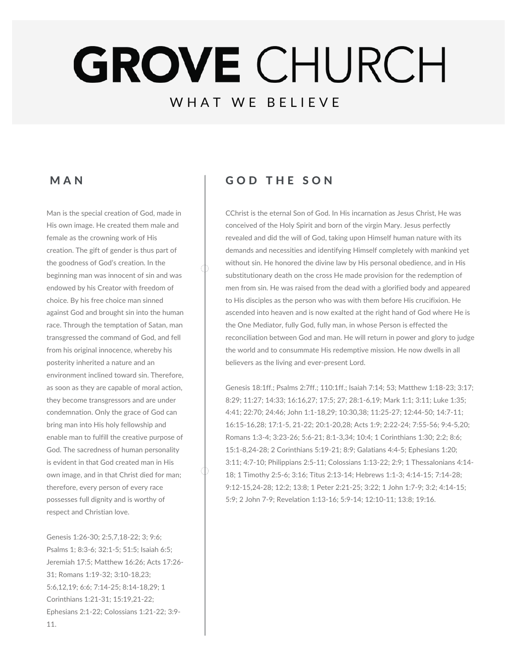# **GROVE CHURCH**

### WHAT WF RFIIFVF

#### M A N

Man is the special creation of God, made in His own image. He created them male and female as the crowning work of His creation. The gift of gender is thus part of the goodness of God's creation. In the beginning man was innocent of sin and was endowed by his Creator with freedom of choice. By his free choice man sinned against God and brought sin into the human race. Through the temptation of Satan, man transgressed the command of God, and fell from his original innocence, whereby his posterity inherited a nature and an environment inclined toward sin. Therefore, as soon as they are capable of moral action, they become transgressors and are under condemnation. Only the grace of God can bring man into His holy fellowship and enable man to fulfill the creative purpose of God. The sacredness of human personality is evident in that God created man in His own image, and in that Christ died for man; therefore, every person of every race possesses full dignity and is worthy of respect and Christian love.

Genesis 1:26-30; 2:5,7,18-22; 3; 9:6; Psalms 1; 8:3-6; 32:1-5; 51:5; Isaiah 6:5; Jeremiah 17:5; Matthew 16:26; Acts 17:26- 31; Romans 1:19-32; 3:10-18,23; 5:6,12,19; 6:6; 7:14-25; 8:14-18,29; 1 Corinthians 1:21-31; 15:19,21-22; Ephesians 2:1-22; Colossians 1:21-22; 3:9- 11.

#### GOD THE SON

CChrist is the eternal Son of God. In His incarnation as Jesus Christ, He was conceived of the Holy Spirit and born of the virgin Mary. Jesus perfectly revealed and did the will of God, taking upon Himself human nature with its demands and necessities and identifying Himself completely with mankind yet without sin. He honored the divine law by His personal obedience, and in His substitutionary death on the cross He made provision for the redemption of men from sin. He was raised from the dead with a glorified body and appeared to His disciples as the person who was with them before His crucifixion. He ascended into heaven and is now exalted at the right hand of God where He is the One Mediator, fully God, fully man, in whose Person is effected the reconciliation between God and man. He will return in power and glory to judge the world and to consummate His redemptive mission. He now dwells in all believers as the living and ever-present Lord.

Genesis 18:1ff.; Psalms 2:7ff.; 110:1ff.; Isaiah 7:14; 53; Matthew 1:18-23; 3:17; 8:29; 11:27; 14:33; 16:16,27; 17:5; 27; 28:1-6,19; Mark 1:1; 3:11; Luke 1:35; 4:41; 22:70; 24:46; John 1:1-18,29; 10:30,38; 11:25-27; 12:44-50; 14:7-11; 16:15-16,28; 17:1-5, 21-22; 20:1-20,28; Acts 1:9; 2:22-24; 7:55-56; 9:4-5,20; Romans 1:3-4; 3:23-26; 5:6-21; 8:1-3,34; 10:4; 1 Corinthians 1:30; 2:2; 8:6; 15:1-8,24-28; 2 Corinthians 5:19-21; 8:9; Galatians 4:4-5; Ephesians 1:20; 3:11; 4:7-10; Philippians 2:5-11; Colossians 1:13-22; 2:9; 1 Thessalonians 4:14- 18; 1 Timothy 2:5-6; 3:16; Titus 2:13-14; Hebrews 1:1-3; 4:14-15; 7:14-28; 9:12-15,24-28; 12:2; 13:8; 1 Peter 2:21-25; 3:22; 1 John 1:7-9; 3:2; 4:14-15; 5:9; 2 John 7-9; Revelation 1:13-16; 5:9-14; 12:10-11; 13:8; 19:16.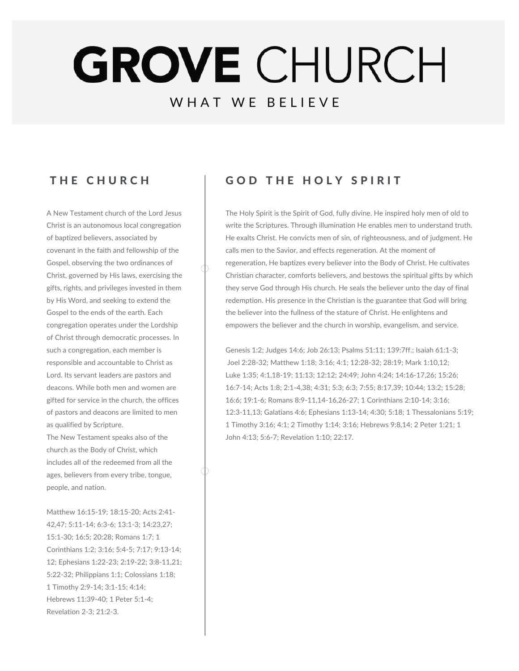### THE CHURCH

A New Testament church of the Lord Jesus Christ is an autonomous local congregation of baptized believers, associated by covenant in the faith and fellowship of the Gospel, observing the two ordinances of Christ, governed by His laws, exercising the gifts, rights, and privileges invested in them by His Word, and seeking to extend the Gospel to the ends of the earth. Each congregation operates under the Lordship of Christ through democratic processes. In such a congregation, each member is responsible and accountable to Christ as Lord. Its servant leaders are pastors and deacons. While both men and women are gifted for service in the church, the offices of pastors and deacons are limited to men as qualified by Scripture.

The New Testament speaks also of the church as the Body of Christ, which includes all of the redeemed from all the ages, believers from every tribe, tongue, people, and nation.

Matthew 16:15-19; 18:15-20; Acts 2:41- 42,47; 5:11-14; 6:3-6; 13:1-3; 14:23,27; 15:1-30; 16:5; 20:28; Romans 1:7; 1 Corinthians 1:2; 3:16; 5:4-5; 7:17; 9:13-14; 12; Ephesians 1:22-23; 2:19-22; 3:8-11,21; 5:22-32; Philippians 1:1; Colossians 1:18; 1 Timothy 2:9-14; 3:1-15; 4:14; Hebrews 11:39-40; 1 Peter 5:1-4; Revelation 2-3; 21:2-3.

#### GOD THE HOLY SPIRIT

The Holy Spirit is the Spirit of God, fully divine. He inspired holy men of old to write the Scriptures. Through illumination He enables men to understand truth. He exalts Christ. He convicts men of sin, of righteousness, and of judgment. He calls men to the Savior, and effects regeneration. At the moment of regeneration, He baptizes every believer into the Body of Christ. He cultivates Christian character, comforts believers, and bestows the spiritual gifts by which they serve God through His church. He seals the believer unto the day of final redemption. His presence in the Christian is the guarantee that God will bring the believer into the fullness of the stature of Christ. He enlightens and empowers the believer and the church in worship, evangelism, and service.

Genesis 1:2; Judges 14:6; Job 26:13; Psalms 51:11; 139:7ff.; Isaiah 61:1-3; Joel 2:28-32; Matthew 1:18; 3:16; 4:1; 12:28-32; 28:19; Mark 1:10,12; Luke 1:35; 4:1,18-19; 11:13; 12:12; 24:49; John 4:24; 14:16-17,26; 15:26; 16:7-14; Acts 1:8; 2:1-4,38; 4:31; 5:3; 6:3; 7:55; 8:17,39; 10:44; 13:2; 15:28; 16:6; 19:1-6; Romans 8:9-11,14-16,26-27; 1 Corinthians 2:10-14; 3:16; 12:3-11,13; Galatians 4:6; Ephesians 1:13-14; 4:30; 5:18; 1 Thessalonians 5:19; 1 Timothy 3:16; 4:1; 2 Timothy 1:14; 3:16; Hebrews 9:8,14; 2 Peter 1:21; 1 John 4:13; 5:6-7; Revelation 1:10; 22:17.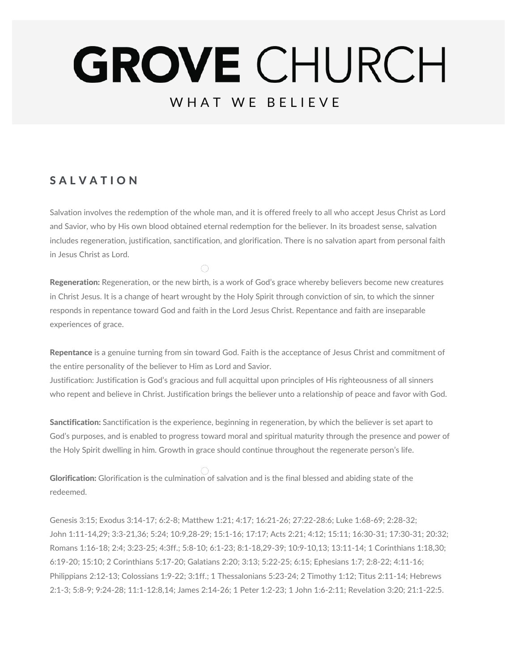### SALVATION

Salvation involves the redemption of the whole man, and it is offered freely to all who accept Jesus Christ as Lord and Savior, who by His own blood obtained eternal redemption for the believer. In its broadest sense, salvation includes regeneration, justification, sanctification, and glorification. There is no salvation apart from personal faith in Jesus Christ as Lord.

Regeneration: Regeneration, or the new birth, is a work of God's grace whereby believers become new creatures in Christ Jesus. It is a change of heart wrought by the Holy Spirit through conviction of sin, to which the sinner responds in repentance toward God and faith in the Lord Jesus Christ. Repentance and faith are inseparable experiences of grace.

 $\bigcap$ 

Repentance is a genuine turning from sin toward God. Faith is the acceptance of Jesus Christ and commitment of the entire personality of the believer to Him as Lord and Savior.

Justification: Justification is God's gracious and full acquittal upon principles of His righteousness of all sinners who repent and believe in Christ. Justification brings the believer unto a relationship of peace and favor with God.

Sanctification: Sanctification is the experience, beginning in regeneration, by which the believer is set apart to God's purposes, and is enabled to progress toward moral and spiritual maturity through the presence and power of the Holy Spirit dwelling in him. Growth in grace should continue throughout the regenerate person's life.

**Glorification:** Glorification is the culmination of salvation and is the final blessed and abiding state of the redeemed.

Genesis 3:15; Exodus 3:14-17; 6:2-8; Matthew 1:21; 4:17; 16:21-26; 27:22-28:6; Luke 1:68-69; 2:28-32; John 1:11-14,29; 3:3-21,36; 5:24; 10:9,28-29; 15:1-16; 17:17; Acts 2:21; 4:12; 15:11; 16:30-31; 17:30-31; 20:32; Romans 1:16-18; 2:4; 3:23-25; 4:3ff.; 5:8-10; 6:1-23; 8:1-18,29-39; 10:9-10,13; 13:11-14; 1 Corinthians 1:18,30; 6:19-20; 15:10; 2 Corinthians 5:17-20; Galatians 2:20; 3:13; 5:22-25; 6:15; Ephesians 1:7; 2:8-22; 4:11-16; Philippians 2:12-13; Colossians 1:9-22; 3:1ff.; 1 Thessalonians 5:23-24; 2 Timothy 1:12; Titus 2:11-14; Hebrews 2:1-3; 5:8-9; 9:24-28; 11:1-12:8,14; James 2:14-26; 1 Peter 1:2-23; 1 John 1:6-2:11; Revelation 3:20; 21:1-22:5.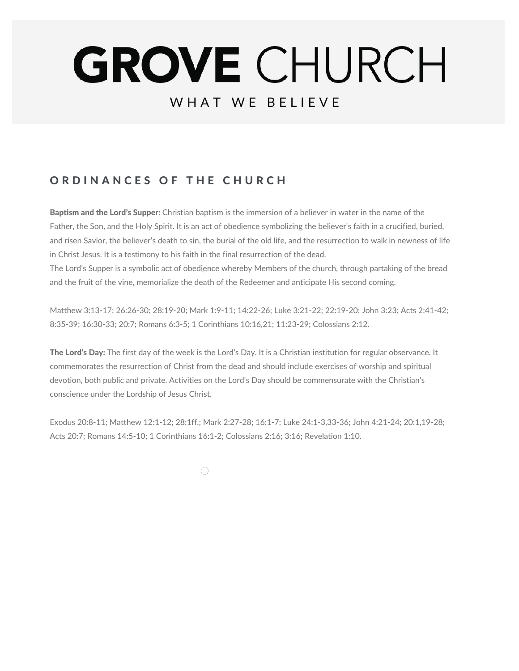### ORDINANCES OF THE CHURCH

Baptism and the Lord's Supper: Christian baptism is the immersion of a believer in water in the name of the Father, the Son, and the Holy Spirit. It is an act of obedience symbolizing the believer's faith in a crucified, buried, and risen Savior, the believer's death to sin, the burial of the old life, and the resurrection to walk in newness of life in Christ Jesus. It is a testimony to his faith in the final resurrection of the dead.

The Lord's Supper is a symbolic act of obedience whereby Members of the church, through partaking of the bread and the fruit of the vine, memorialize the death of the Redeemer and anticipate His second coming.

Matthew 3:13-17; 26:26-30; 28:19-20; Mark 1:9-11; 14:22-26; Luke 3:21-22; 22:19-20; John 3:23; Acts 2:41-42; 8:35-39; 16:30-33; 20:7; Romans 6:3-5; 1 Corinthians 10:16,21; 11:23-29; Colossians 2:12.

The Lord's Day: The first day of the week is the Lord's Day. It is a Christian institution for regular observance. It commemorates the resurrection of Christ from the dead and should include exercises of worship and spiritual devotion, both public and private. Activities on the Lord's Day should be commensurate with the Christian's conscience under the Lordship of Jesus Christ.

Exodus 20:8-11; Matthew 12:1-12; 28:1ff.; Mark 2:27-28; 16:1-7; Luke 24:1-3,33-36; John 4:21-24; 20:1,19-28; Acts 20:7; Romans 14:5-10; 1 Corinthians 16:1-2; Colossians 2:16; 3:16; Revelation 1:10.

 $\bigcirc$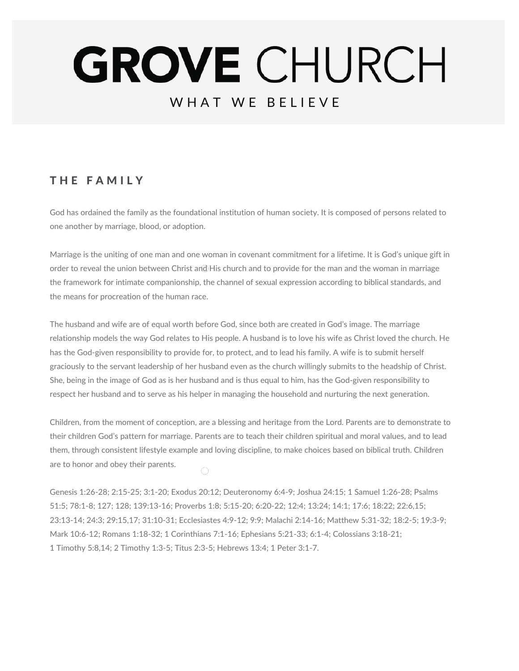### THE FAMILY

God has ordained the family as the foundational institution of human society. It is composed of persons related to one another by marriage, blood, or adoption.

Marriage is the uniting of one man and one woman in covenant commitment for a lifetime. It is God's unique gift in order to reveal the union between Christ and His church and to provide for the man and the woman in marriage the framework for intimate companionship, the channel of sexual expression according to biblical standards, and the means for procreation of the human race.

The husband and wife are of equal worth before God, since both are created in God's image. The marriage relationship models the way God relates to His people. A husband is to love his wife as Christ loved the church. He has the God-given responsibility to provide for, to protect, and to lead his family. A wife is to submit herself graciously to the servant leadership of her husband even as the church willingly submits to the headship of Christ. She, being in the image of God as is her husband and is thus equal to him, has the God-given responsibility to respect her husband and to serve as his helper in managing the household and nurturing the next generation.

Children, from the moment of conception, are a blessing and heritage from the Lord. Parents are to demonstrate to their children God's pattern for marriage. Parents are to teach their children spiritual and moral values, and to lead them, through consistent lifestyle example and loving discipline, to make choices based on biblical truth. Children are to honor and obey their parents. ∩

Genesis 1:26-28; 2:15-25; 3:1-20; Exodus 20:12; Deuteronomy 6:4-9; Joshua 24:15; 1 Samuel 1:26-28; Psalms 51:5; 78:1-8; 127; 128; 139:13-16; Proverbs 1:8; 5:15-20; 6:20-22; 12:4; 13:24; 14:1; 17:6; 18:22; 22:6,15; 23:13-14; 24:3; 29:15,17; 31:10-31; Ecclesiastes 4:9-12; 9:9; Malachi 2:14-16; Matthew 5:31-32; 18:2-5; 19:3-9; Mark 10:6-12; Romans 1:18-32; 1 Corinthians 7:1-16; Ephesians 5:21-33; 6:1-4; Colossians 3:18-21; 1 Timothy 5:8,14; 2 Timothy 1:3-5; Titus 2:3-5; Hebrews 13:4; 1 Peter 3:1-7.